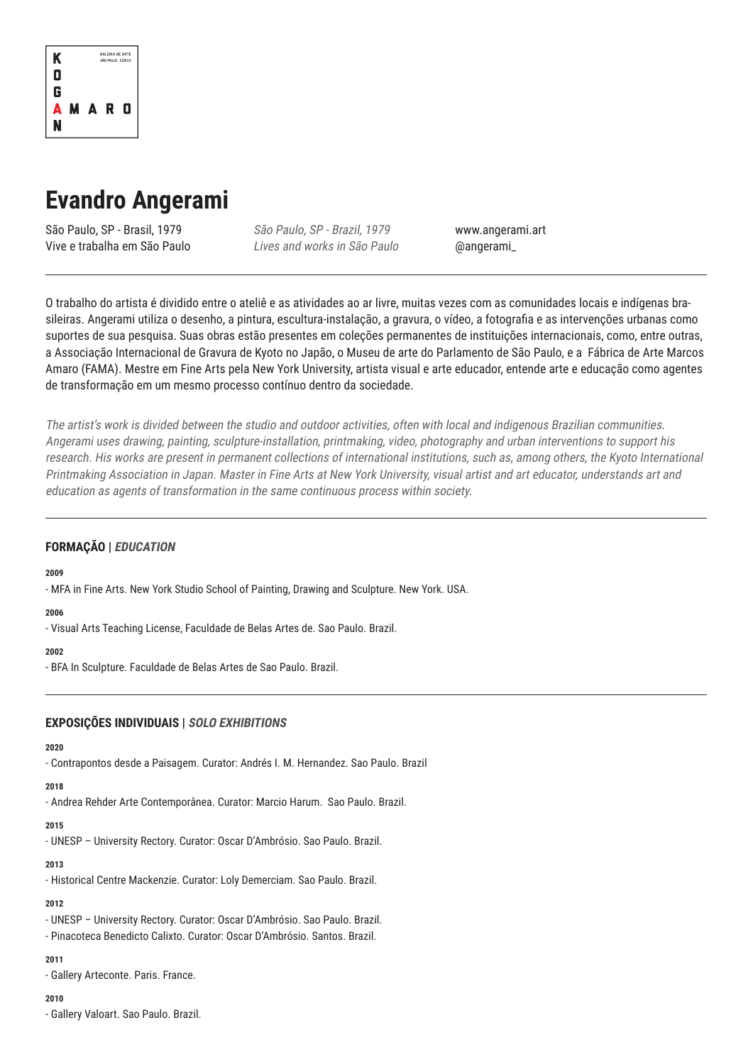

# **Evandro Angerami**

São Paulo, SP - Brasil, 1979 Vive e trabalha em São Paulo São Paulo, SP - Brazil, 1979 Lives and works in São Paulo www.angerami.art @angerami\_

O trabalho do artista é dividido entre o ateliê e as atividades ao ar livre, muitas vezes com as comunidades locais e indígenas brasileiras. Angerami utiliza o desenho, a pintura, escultura-instalação, a gravura, o vídeo, a fotografia e as intervenções urbanas como suportes de sua pesquisa. Suas obras estão presentes em coleções permanentes de instituições internacionais, como, entre outras, a Associação Internacional de Gravura de Kyoto no Japão, o Museu de arte do Parlamento de São Paulo, e a Fábrica de Arte Marcos Amaro (FAMA). Mestre em Fine Arts pela New York University, artista visual e arte educador, entende arte e educação como agentes de transformação em um mesmo processo contínuo dentro da sociedade.

The artist's work is divided between the studio and outdoor activities, often with local and indigenous Brazilian communities. Angerami uses drawing, painting, sculpture-installation, printmaking, video, photography and urban interventions to support his research. His works are present in permanent collections of international institutions, such as, among others, the Kyoto International Printmaking Association in Japan. Master in Fine Arts at New York University, visual artist and art educator, understands art and education as agents of transformation in the same continuous process within society.

# **FORMAÇÃO | EDUCATION**

**2009**

- MFA in Fine Arts. New York Studio School of Painting, Drawing and Sculpture. New York. USA.

### **2006**

- Visual Arts Teaching License, Faculdade de Belas Artes de. Sao Paulo. Brazil.

### **2002**

- BFA In Sculpture. Faculdade de Belas Artes de Sao Paulo. Brazil.

## **EXPOSIÇÕES INDIVIDUAIS | SOLO EXHIBITIONS**

**2020**

- Contrapontos desde a Paisagem. Curator: Andrés I. M. Hernandez. Sao Paulo. Brazil

#### **2018**

- Andrea Rehder Arte Contemporânea. Curator: Marcio Harum. Sao Paulo. Brazil.

#### **2015**

- UNESP – University Rectory. Curator: Oscar D'Ambrósio. Sao Paulo. Brazil.

#### **2013**

- Historical Centre Mackenzie. Curator: Loly Demerciam. Sao Paulo. Brazil.

# **2012**

- UNESP – University Rectory. Curator: Oscar D'Ambrósio. Sao Paulo. Brazil.

- Pinacoteca Benedicto Calixto. Curator: Oscar D'Ambrósio. Santos. Brazil.

# **2011**

- Gallery Arteconte. Paris. France.

#### **2010**

- Gallery Valoart. Sao Paulo. Brazil.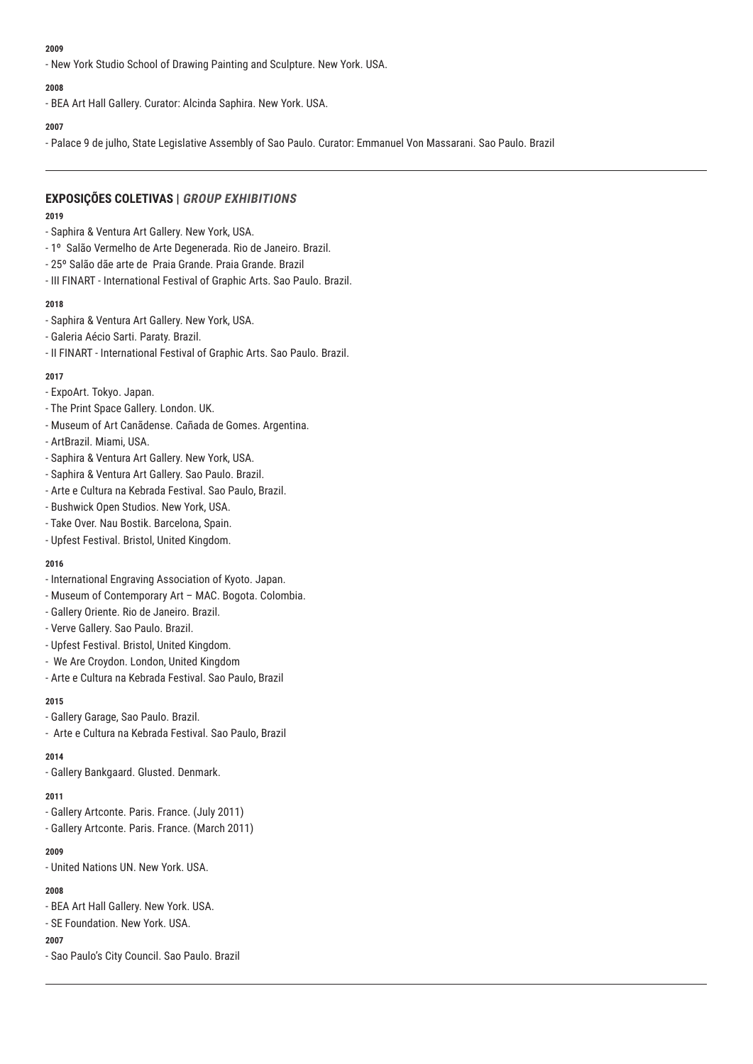## **2009**

- New York Studio School of Drawing Painting and Sculpture. New York. USA.

## **2008**

- BEA Art Hall Gallery. Curator: Alcinda Saphira. New York. USA.

## **2007**

- Palace 9 de julho, State Legislative Assembly of Sao Paulo. Curator: Emmanuel Von Massarani. Sao Paulo. Brazil

## **EXPOSIÇÕES COLETIVAS | GROUP EXHIBITIONS**

## **2019**

- Saphira & Ventura Art Gallery. New York, USA.
- 1º Salão Vermelho de Arte Degenerada. Rio de Janeiro. Brazil.
- 25º Salão dãe arte de Praia Grande. Praia Grande. Brazil
- III FINART International Festival of Graphic Arts. Sao Paulo. Brazil.

### **2018**

- Saphira & Ventura Art Gallery. New York, USA.
- Galeria Aécio Sarti. Paraty. Brazil.
- II FINART International Festival of Graphic Arts. Sao Paulo. Brazil.

## **2017**

- ExpoArt. Tokyo. Japan.
- The Print Space Gallery. London. UK.
- Museum of Art Canãdense. Cañada de Gomes. Argentina.
- ArtBrazil. Miami, USA.
- Saphira & Ventura Art Gallery. New York, USA.
- Saphira & Ventura Art Gallery. Sao Paulo. Brazil.
- Arte e Cultura na Kebrada Festival. Sao Paulo, Brazil.
- Bushwick Open Studios. New York, USA.
- Take Over. Nau Bostik. Barcelona, Spain.
- Upfest Festival. Bristol, United Kingdom.

### **2016**

- International Engraving Association of Kyoto. Japan.
- Museum of Contemporary Art MAC. Bogota. Colombia.
- Gallery Oriente. Rio de Janeiro. Brazil.
- Verve Gallery. Sao Paulo. Brazil.
- Upfest Festival. Bristol, United Kingdom.
- We Are Croydon. London, United Kingdom
- Arte e Cultura na Kebrada Festival. Sao Paulo, Brazil

### **2015**

- Gallery Garage, Sao Paulo. Brazil.
- Arte e Cultura na Kebrada Festival. Sao Paulo, Brazil

## **2014**

- Gallery Bankgaard. Glusted. Denmark.

### **2011**

- Gallery Artconte. Paris. France. (July 2011)
- Gallery Artconte. Paris. France. (March 2011)

### **2009**

- United Nations UN. New York. USA.

## **2008**

- BEA Art Hall Gallery. New York. USA.
- SE Foundation. New York. USA.

## **2007**

- Sao Paulo's City Council. Sao Paulo. Brazil